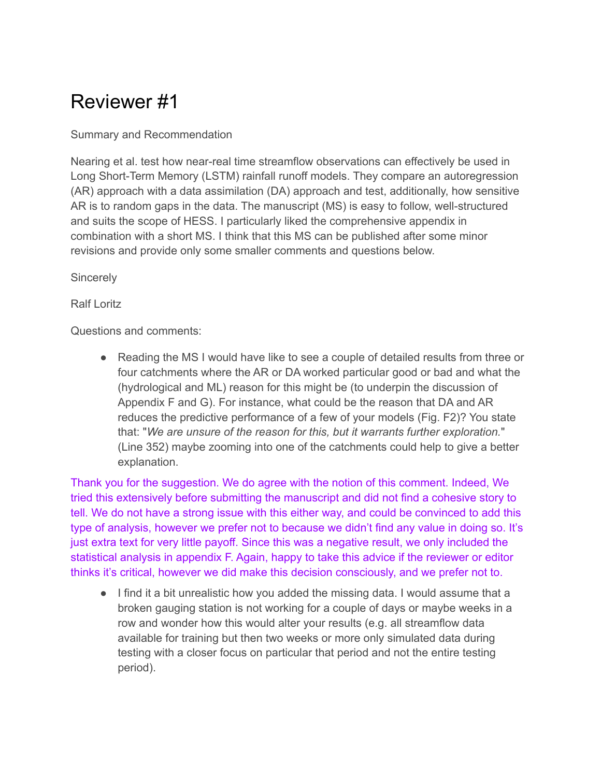## Reviewer #1

## Summary and Recommendation

Nearing et al. test how near-real time streamflow observations can effectively be used in Long Short-Term Memory (LSTM) rainfall runoff models. They compare an autoregression (AR) approach with a data assimilation (DA) approach and test, additionally, how sensitive AR is to random gaps in the data. The manuscript (MS) is easy to follow, well-structured and suits the scope of HESS. I particularly liked the comprehensive appendix in combination with a short MS. I think that this MS can be published after some minor revisions and provide only some smaller comments and questions below.

**Sincerely** 

## Ralf Loritz

Questions and comments:

● Reading the MS I would have like to see a couple of detailed results from three or four catchments where the AR or DA worked particular good or bad and what the (hydrological and ML) reason for this might be (to underpin the discussion of Appendix F and G). For instance, what could be the reason that DA and AR reduces the predictive performance of a few of your models (Fig. F2)? You state that: "*We are unsure of the reason for this, but it warrants further exploration.*" (Line 352) maybe zooming into one of the catchments could help to give a better explanation.

Thank you for the suggestion. We do agree with the notion of this comment. Indeed, We tried this extensively before submitting the manuscript and did not find a cohesive story to tell. We do not have a strong issue with this either way, and could be convinced to add this type of analysis, however we prefer not to because we didn't find any value in doing so. It's just extra text for very little payoff. Since this was a negative result, we only included the statistical analysis in appendix F. Again, happy to take this advice if the reviewer or editor thinks it's critical, however we did make this decision consciously, and we prefer not to.

● I find it a bit unrealistic how you added the missing data. I would assume that a broken gauging station is not working for a couple of days or maybe weeks in a row and wonder how this would alter your results (e.g. all streamflow data available for training but then two weeks or more only simulated data during testing with a closer focus on particular that period and not the entire testing period).